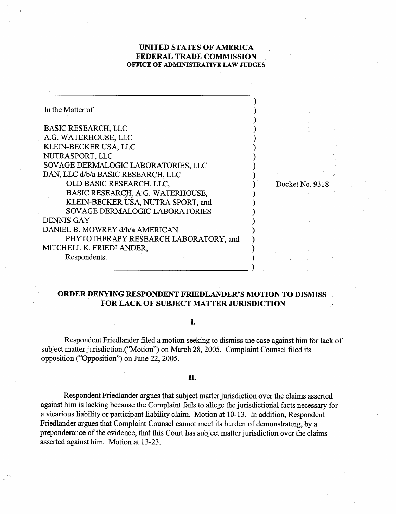## **UNITED STATES OF AMERICA FEDERAL TRADE COMMISSION OFFICE OF ADMINISTRATIVE LAW JUDGES**

| In the Matter of                      |                 |
|---------------------------------------|-----------------|
|                                       |                 |
| <b>BASIC RESEARCH, LLC</b>            |                 |
| A.G. WATERHOUSE, LLC                  |                 |
| KLEIN-BECKER USA, LLC                 |                 |
| NUTRASPORT, LLC                       |                 |
| SOVAGE DERMALOGIC LABORATORIES, LLC   |                 |
| BAN, LLC d/b/a BASIC RESEARCH, LLC    |                 |
| OLD BASIC RESEARCH, LLC,              | Docket No. 9318 |
| BASIC RESEARCH, A.G. WATERHOUSE,      |                 |
| KLEIN-BECKER USA, NUTRA SPORT, and    |                 |
| <b>SOVAGE DERMALOGIC LABORATORIES</b> |                 |
| DENNIS GAY                            |                 |
| DANIEL B. MOWREY d/b/a AMERICAN       |                 |
| PHYTOTHERAPY RESEARCH LABORATORY, and |                 |
| MITCHELL K. FRIEDLANDER,              |                 |
| Respondents.                          |                 |
|                                       |                 |

# **ORDER DENYING RESPONDENT FRIEDLANDER'S MOTION TO DISMISS FOR LACK OF SUBJECT MATTER JURISDICTION**

#### I.

Respondent Friedlander filed a motion seeking to dismiss the case against him for lack of subject matter jurisdiction ("Motion") on March 28,2005. Complaint Counsel filed its opposition ("Opposition") on June 22, 2005.

### **II.**

Respondent Friedlander argues that subject matter jurisdiction over the claims asserted against him is lacking because the Complaint fails to allege the jurisdictional facts necessary for a vicarious liability or participant liability claim. Motion at 10- 13. In addition, Respondent Friedlander argues that Complaint Counsel cannot meet its burden of demonstrating, by a preponderance of the evidence, that this Court has subject matter jurisdiction over the claims asserted against him. Motion at 13-23.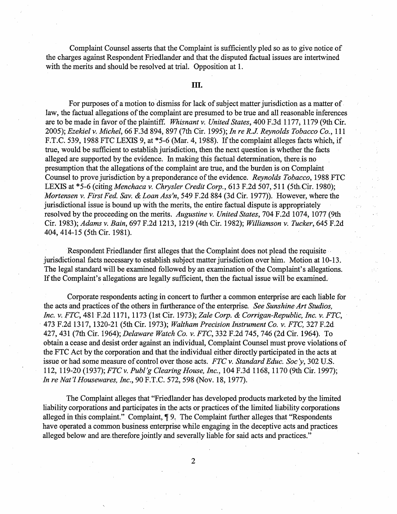Complaint Counsel asserts that the Complaint is sufficiently pled so as to give notice of the charges against Respondent Friedlander and that the disputed factual issues are intertwined with the merits and should be resolved at trial. Opposition at 1.

### **111.**

For purposes of a motion to dismiss for lack of subject matter jurisdiction as a matter of law, the factual allegations of the complaint are presumed to be true and all reasonable inferences are to be made in favor of the plaintiff. Whisnant **v.** United States, 400 F.3d 1 177, 1 179 (9th Cir. 2005); Ezekiel **v.** Michel, 66 F.3d 894, 897 (7th Cir. 1995); In re R.J. Reynolds Tobacco Co., 11 1 F.T.C. 539, 1988 FTC LEXIS 9, at \*5-6 (Mar. 4,1988). If the complaint alleges facts which, if true, would be sufficient to establish jurisdiction, then the next question is whether the facts alleged are supported by the evidence. In making this factual determination, there is no presumption that the allegations of the complaint are true, and the burden is on Complaint Counsel to prove jurisdiction by a preponderance of the evidence. Reynolds Tobacco, 1988 FTC LEXIS at \*5-6 (citing *Menchaca v. Chrysler Credit Corp.*, 613 F.2d 507, 511 (5th Cir. 1980); Mortensen v. First Fed. Sav. & Loan Ass'n, 549 F.2d 884 (3d Cir. 1977)). However, where the jurisdictional issue is bound up with the merits, the entire factual dispute is appropriately resolved by the proceeding on the merits. Augustine **v.** United States, 704 F.2d 1074, 1077 (9th Cir. 1983); Adams **v.** Bain, 697 F.2d 12 13, 12 1 9 (4th Cir. 1982); Williamson v. Tucker, 645 F.2d 404,414-15 (5th Cir. 1981).

Respondent Friedlander first alleges that the Complaint does not plead the requisite jurisdictional facts necessary to establish subject matter jurisdiction over him. Motion at 10-13. The legal standard will be examined followed by an examination of the Complaint's allegations. If the Complaint's allegations are legally sufficient, then the factual issue will be examined.

Corporate respondents acting in concert to further a common enterprise are each liable for the acts and practices of the others in furtherance of the enterprise. See Sunshine Art Studios, Inc. v. FTC, 48 1 F.2d 1 17 1, 1 173 (1 st Cir. 1973); Zale Corp. & Corrigan-Republic, Inc. **v.** FTC, 473 F.2d 13 17, 1320-2 1 (5th Cir. 1973); Waltham Precision Instrument Co. **v.** FTC, 327 F.2d 427,43 1 (7th Cir. 1964); Delaware Watch Co. **v.** FTC, 332 F.2d 745,746 (2d Cir. 1964). To obtain a cease and desist order against an individual, Complaint Counsel must prove violations of the FTC Act by the corporation and that the individual either directly participated in the acts at issue or had some measure of control over those acts. FTC v. Standard Educ. Soc'y, 302 U.S. 1 12, 1 19-20 (1 937); FTC v. Pub1 *g* Clearing House, Inc., 104 F.3d 1 168,1170 (9th Cir. 1997); In *re* Nat **7** Housewares, Inc., 90 F.T.C. 572,598 (Nov. 18, 1977).

The Complaint alleges that "Friedlander has developed products marketed by the limited liability corporations and participates in the acts or practices of the limited liability corporations alleged in this complaint." Complaint, **7** 9. The Complaint further alleges that "Respondents have operated a common business enterprise while engaging in the deceptive acts and practices alleged below and are,therefore jointly and severally liable for said acts and practices."

 $\overline{2}$